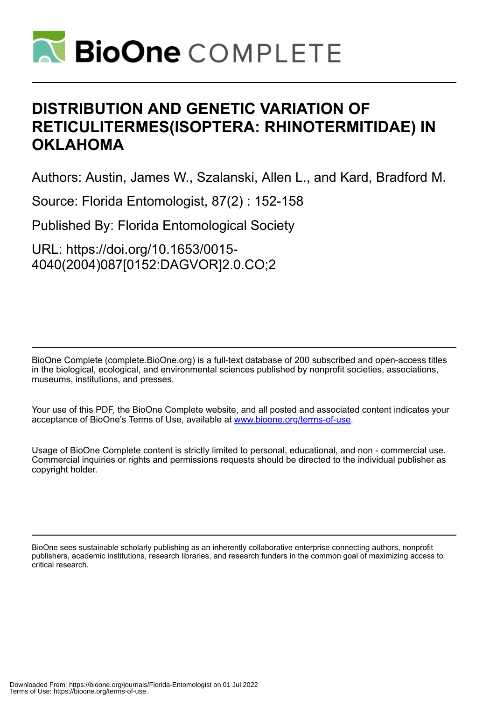

# **DISTRIBUTION AND GENETIC VARIATION OF RETICULITERMES(ISOPTERA: RHINOTERMITIDAE) IN OKLAHOMA**

Authors: Austin, James W., Szalanski, Allen L., and Kard, Bradford M.

Source: Florida Entomologist, 87(2) : 152-158

Published By: Florida Entomological Society

URL: https://doi.org/10.1653/0015- 4040(2004)087[0152:DAGVOR]2.0.CO;2

BioOne Complete (complete.BioOne.org) is a full-text database of 200 subscribed and open-access titles in the biological, ecological, and environmental sciences published by nonprofit societies, associations, museums, institutions, and presses.

Your use of this PDF, the BioOne Complete website, and all posted and associated content indicates your acceptance of BioOne's Terms of Use, available at www.bioone.org/terms-of-use.

Usage of BioOne Complete content is strictly limited to personal, educational, and non - commercial use. Commercial inquiries or rights and permissions requests should be directed to the individual publisher as copyright holder.

BioOne sees sustainable scholarly publishing as an inherently collaborative enterprise connecting authors, nonprofit publishers, academic institutions, research libraries, and research funders in the common goal of maximizing access to critical research.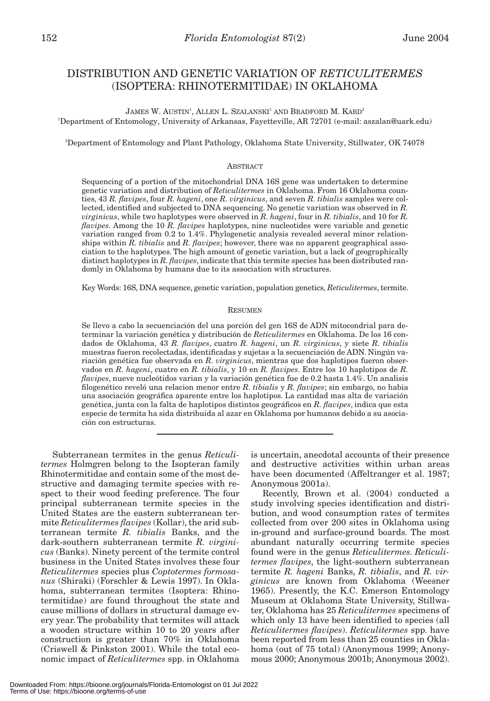# DISTRIBUTION AND GENETIC VARIATION OF *RETICULITERMES* (ISOPTERA: RHINOTERMITIDAE) IN OKLAHOMA

 $\,$ JAMES W. AUSTIN $^1\!,\rm$  Allen L. Szalanski $^1$  and Bradford M. Kard $^2$ 1 Department of Entomology, University of Arkansas, Fayetteville, AR 72701 (e-mail: aszalan@uark.edu)

2 Department of Entomology and Plant Pathology, Oklahoma State University, Stillwater, OK 74078

# ABSTRACT

Sequencing of a portion of the mitochondrial DNA 16S gene was undertaken to determine genetic variation and distribution of *Reticulitermes* in Oklahoma. From 16 Oklahoma counties, 43 *R. flavipes*, four *R. hageni*, one *R. virginicus*, and seven *R. tibialis* samples were collected, identified and subjected to DNA sequencing. No genetic variation was observed in *R. virginicus*, while two haplotypes were observed in *R. hageni*, four in *R. tibialis*, and 10 for *R. flavipes*. Among the 10 *R. flavipes* haplotypes, nine nucleotides were variable and genetic variation ranged from 0.2 to 1.4%. Phylogenetic analysis revealed several minor relationships within *R. tibialis* and *R. flavipes*; however, there was no apparent geographical association to the haplotypes. The high amount of genetic variation, but a lack of geographically distinct haplotypes in *R. flavipes*, indicate that this termite species has been distributed randomly in Oklahoma by humans due to its association with structures.

Key Words: 16S, DNA sequence, genetic variation, population genetics, *Reticulitermes*, termite.

#### **RESUMEN**

Se llevo a cabo la secuenciación del una porción del gen 16S de ADN mitocondrial para determinar la variación genética y distribución de *Reticulitermes* en Oklahoma. De los 16 condados de Oklahoma, 43 *R. flavipes*, cuatro *R. hageni*, un *R. virginicus*, y siete *R. tibialis* muestras fueron recolectadas, identificadas y sujetas a la secuenciación de ADN. Ningún variación genética fue observada en *R. virginicus*, mientras que dos haplotipos fueron observados en *R. hageni*, cuatro en *R. tibialis*, y 10 en *R. flavipes*. Entre los 10 haplotipos de *R. flavipes*, nueve nucleótidos varian y la variación genética fue de 0.2 hasta 1.4%. Un analisis filogenético reveló una relacion menor entre *R. tibialis* y *R. flavipes*; sin embargo, no habia una asociación geográfica aparente entre los haplotipos. La cantidad mas alta de variación genética, junta con la falta de haplotipos distintos geográficos en *R. flavipes*, indica que esta especie de termita ha sida distribuida al azar en Oklahoma por humanos debido a su asociación con estructuras.

Subterranean termites in the genus *Reticulitermes* Holmgren belong to the Isopteran family Rhinotermitidae and contain some of the most destructive and damaging termite species with respect to their wood feeding preference. The four principal subterranean termite species in the United States are the eastern subterranean termite *Reticulitermes flavipes* (Kollar), the arid subterranean termite *R. tibialis* Banks, and the dark-southern subterranean termite *R. virginicus* (Banks). Ninety percent of the termite control business in the United States involves these four *Reticulitermes* species plus *Coptotermes formosanus* (Shiraki) (Forschler & Lewis 1997). In Oklahoma, subterranean termites (Isoptera: Rhinotermitidae) are found throughout the state and cause millions of dollars in structural damage every year. The probability that termites will attack a wooden structure within 10 to 20 years after construction is greater than 70% in Oklahoma (Criswell & Pinkston 2001). While the total economic impact of *Reticulitermes* spp. in Oklahoma

is uncertain, anecdotal accounts of their presence and destructive activities within urban areas have been documented (Affeltranger et al. 1987; Anonymous 2001a).

Recently, Brown et al. (2004) conducted a study involving species identification and distribution, and wood consumption rates of termites collected from over 200 sites in Oklahoma using in-ground and surface-ground boards. The most abundant naturally occurring termite species found were in the genus *Reticulitermes*. *Reticulitermes flavipes*, the light-southern subterranean termite *R. hageni* Banks, *R. tibialis*, and *R. virginicus* are known from Oklahoma (Weesner 1965). Presently, the K.C. Emerson Entomology Museum at Oklahoma State University, Stillwater, Oklahoma has 25 *Reticulitermes* specimens of which only 13 have been identified to species (all *Reticulitermes flavipes*). *Reticulitermes* spp. have been reported from less than 25 counties in Oklahoma (out of 75 total) (Anonymous 1999; Anonymous 2000; Anonymous 2001b; Anonymous 2002).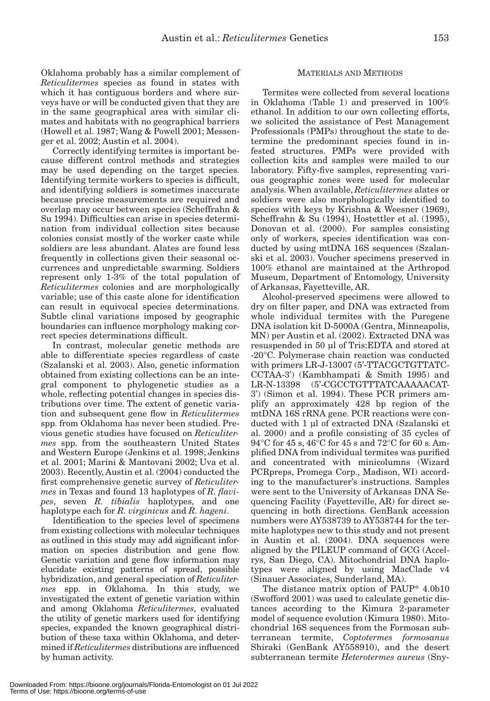Oklahoma probably has a similar complement of *Reticulitermes* species as found in states with which it has contiguous borders and where surveys have or will be conducted given that they are in the same geographical area with similar climates and habitats with no geographical barriers (Howell et al. 1987; Wang & Powell 2001; Messenger et al. 2002; Austin et al. 2004).

Correctly identifying termites is important because different control methods and strategies may be used depending on the target species. Identifying termite workers to species is difficult, and identifying soldiers is sometimes inaccurate because precise measurements are required and overlap may occur between species (Scheffrahn & Su 1994). Difficulties can arise in species determination from individual collection sites because colonies consist mostly of the worker caste while soldiers are less abundant. Alates are found less frequently in collections given their seasonal occurrences and unpredictable swarming. Soldiers represent only 1-3% of the total population of *Reticulitermes* colonies and are morphologically variable; use of this caste alone for identification can result in equivocal species determinations. Subtle clinal variations imposed by geographic boundaries can influence morphology making correct species determinations difficult.

In contrast, molecular genetic methods are able to differentiate species regardless of caste (Szalanski et al. 2003). Also, genetic information obtained from existing collections can be an integral component to phylogenetic studies as a whole, reflecting potential changes in species distributions over time. The extent of genetic variation and subsequent gene flow in *Reticulitermes* spp. from Oklahoma has never been studied. Previous genetic studies have focused on *Reticulitermes* spp. from the southeastern United States and Western Europe (Jenkins et al. 1998; Jenkins et al. 2001; Marini & Mantovani 2002; Uva et al. 2003). Recently, Austin et al. (2004) conducted the first comprehensive genetic survey of *Reticulitermes* in Texas and found 13 haplotypes of *R. flavipes*, seven *R. tibialis* haplotypes, and one haplotype each for *R. virginicus* and *R. hageni*.

Identification to the species level of specimens from existing collections with molecular techniques as outlined in this study may add significant information on species distribution and gene flow. Genetic variation and gene flow information may elucidate existing patterns of spread, possible hybridization, and general speciation of *Reticulitermes* spp. in Oklahoma. In this study, we investigated the extent of genetic variation within and among Oklahoma *Reticulitermes*, evaluated the utility of genetic markers used for identifying species, expanded the known geographical distribution of these taxa within Oklahoma, and determined if *Reticulitermes* distributions are influenced by human activity.

### MATERIALS AND METHODS

Termites were collected from several locations in Oklahoma (Table 1) and preserved in 100% ethanol. In addition to our own collecting efforts, we solicited the assistance of Pest Management Professionals (PMPs) throughout the state to determine the predominant species found in infested structures. PMPs were provided with collection kits and samples were mailed to our laboratory. Fifty-five samples, representing various geographic zones were used for molecular analysis. When available, *Reticulitermes* alates or soldiers were also morphologically identified to species with keys by Krishna & Weesner (1969), Scheffrahn & Su (1994), Hostettler et al. (1995), Donovan et al. (2000). For samples consisting only of workers, species identification was conducted by using mtDNA 16S sequences (Szalanski et al. 2003). Voucher specimens preserved in 100% ethanol are maintained at the Arthropod Museum, Department of Entomology, University of Arkansas, Fayetteville, AR.

Alcohol-preserved specimens were allowed to dry on filter paper, and DNA was extracted from whole individual termites with the Puregene DNA isolation kit D-5000A (Gentra, Minneapolis, MN) per Austin et al. (2002). Extracted DNA was resuspended in 50 µl of Tris:EDTA and stored at -20°C. Polymerase chain reaction was conducted with primers LR-J-13007 (5'-TTACGCTGTTATC-CCTAA-3') (Kambhampati & Smith 1995) and LR-N-13398 (5'-CGCCTGTTTATCAAAAACAT-3') (Simon et al. 1994). These PCR primers amplify an approximately 428 bp region of the mtDNA 16S rRNA gene. PCR reactions were conducted with 1 µl of extracted DNA (Szalanski et al. 2000) and a profile consisting of 35 cycles of 94°C for 45 s, 46°C for 45 s and 72°C for 60 s. Amplified DNA from individual termites was purified and concentrated with minicolumns (Wizard PCRpreps, Promega Corp., Madison, WI) according to the manufacturer's instructions. Samples were sent to the University of Arkansas DNA Sequencing Facility (Fayetteville, AR) for direct sequencing in both directions. GenBank accession numbers were AY538739 to AY538744 for the termite haplotypes new to this study and not present in Austin et al. (2004). DNA sequences were aligned by the PILEUP command of GCG (Accelrys, San Diego, CA). Mitochondrial DNA haplotypes were aligned by using MacClade v4 (Sinauer Associates, Sunderland, MA).

The distance matrix option of PAUP\* 4.0b10 (Swofford 2001) was used to calculate genetic distances according to the Kimura 2-parameter model of sequence evolution (Kimura 1980). Mitochondrial 16S sequences from the Formosan subterranean termite, *Coptotermes formosanus* Shiraki (GenBank AY558910), and the desert subterranean termite *Heterotermes aureus* (Sny-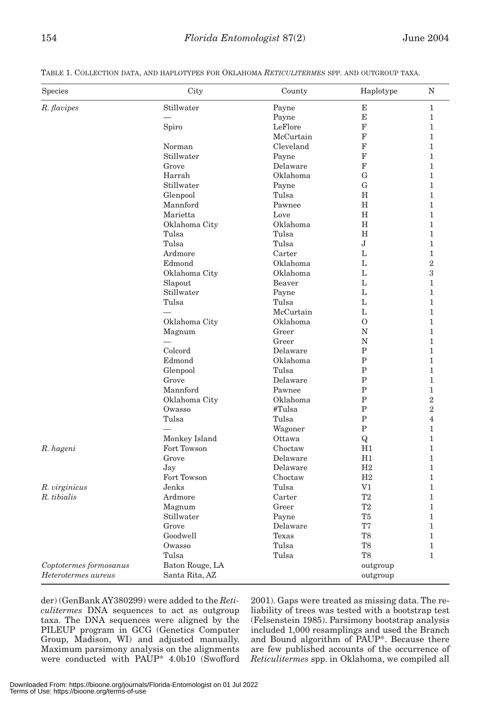| Species                | City                     | County    | Haplotype      | N              |
|------------------------|--------------------------|-----------|----------------|----------------|
| R. flavipes            | Stillwater               | Payne     | Е              | 1              |
|                        |                          | Payne     | E              | $\mathbf{1}$   |
|                        | Spiro                    | LeFlore   | F              | $\mathbf{1}$   |
|                        |                          | McCurtain | F              | $\mathbf{1}$   |
|                        | Norman                   | Cleveland | F              | $\mathbf{1}$   |
|                        | Stillwater               | Payne     | F              | 1              |
|                        | Grove                    | Delaware  | F              | $\mathbf{1}$   |
|                        | Harrah                   | Oklahoma  | G              | $\mathbf{1}$   |
|                        | Stillwater               | Payne     | G              | $\mathbf{1}$   |
|                        | Glenpool                 | Tulsa     | Η              | 1              |
|                        | Mannford                 | Pawnee    | H              | $\mathbf{1}$   |
|                        | Marietta                 | Love      | H              | $\mathbf{1}$   |
|                        | Oklahoma City            | Oklahoma  | Н              | $\mathbf{1}$   |
|                        | Tulsa                    | Tulsa     | Η              | 1              |
|                        | Tulsa                    | Tulsa     | J              | $\mathbf{1}$   |
|                        | Ardmore                  | Carter    | L              | $\mathbf{1}$   |
|                        | Edmond                   | Oklahoma  | L              | $\overline{2}$ |
|                        | Oklahoma City            | Oklahoma  | L              | 3              |
|                        | Slapout                  | Beaver    | L              | $\mathbf{1}$   |
|                        | Stillwater               | Payne     | L              | $\mathbf{1}$   |
|                        | Tulsa                    | Tulsa     | L              | $\mathbf{1}$   |
|                        |                          | McCurtain | L              | $\mathbf{1}$   |
|                        | Oklahoma City            | Oklahoma  | $\mathcal{O}$  | $\mathbf{1}$   |
|                        | Magnum                   | Greer     | N              | $\mathbf{1}$   |
|                        |                          | Greer     | N              | $\mathbf{1}$   |
|                        | Colcord                  | Delaware  | $\mathbf{P}$   | $\mathbf{1}$   |
|                        | Edmond                   | Oklahoma  | $\mathbf P$    | $\mathbf{1}$   |
|                        | Glenpool                 | Tulsa     | $\mathbf P$    | 1              |
|                        | Grove                    | Delaware  | $\mathbf P$    | $\mathbf{1}$   |
|                        | Mannford                 | Pawnee    | P              | $\mathbf{1}$   |
|                        | Oklahoma City            | Oklahoma  | $\mathbf{P}$   | $\overline{2}$ |
|                        | Owasso                   | #Tulsa    | P              | $\overline{2}$ |
|                        | Tulsa                    | Tulsa     | $\mathbf P$    | $\overline{4}$ |
|                        | $\overline{\phantom{0}}$ | Wagoner   | Ρ              | 1              |
|                        | Monkey Island            | Ottawa    | Q              | $\mathbf{1}$   |
| R. hageni              | Fort Towson              | Choctaw   | H1             | $\mathbf{1}$   |
|                        | Grove                    | Delaware  | H1             | $\mathbf{1}$   |
|                        | Jay                      | Delaware  | H2             | $\mathbf{1}$   |
|                        | Fort Towson              | Choctaw   | H2             | 1              |
| R. virginicus          | Jenks                    | Tulsa     | V1             | $\mathbf{1}$   |
| R. tibialis            | Ardmore                  | Carter    | T <sub>2</sub> | $\mathbf{1}$   |
|                        | Magnum                   | Greer     | T <sub>2</sub> | $\mathbf{1}$   |
|                        | Stillwater               | Payne     | T5             | 1              |
|                        | Grove                    | Delaware  | T7             | 1              |
|                        | Goodwell                 | Texas     | T <sub>8</sub> | 1              |
|                        | Owasso                   | Tulsa     | T <sub>8</sub> | $\mathbf{1}$   |
|                        | Tulsa                    | Tulsa     | T <sub>8</sub> | 1              |
| Coptotermes formosanus | Baton Rouge, LA          |           | outgroup       |                |
| Heterotermes aureus    | Santa Rita, AZ           |           | outgroup       |                |

TABLE 1. COLLECTION DATA, AND HAPLOTYPES FOR OKLAHOMA *RETICULITERMES* SPP. AND OUTGROUP TAXA.

der) (GenBank AY380299) were added to the *Reticulitermes* DNA sequences to act as outgroup taxa. The DNA sequences were aligned by the PILEUP program in GCG (Genetics Computer Group, Madison, WI) and adjusted manually. Maximum parsimony analysis on the alignments were conducted with PAUP\* 4.0b10 (Swofford 2001). Gaps were treated as missing data. The reliability of trees was tested with a bootstrap test (Felsenstein 1985). Parsimony bootstrap analysis included 1,000 resamplings and used the Branch and Bound algorithm of PAUP\*. Because there are few published accounts of the occurrence of *Reticulitermes* spp. in Oklahoma, we compiled all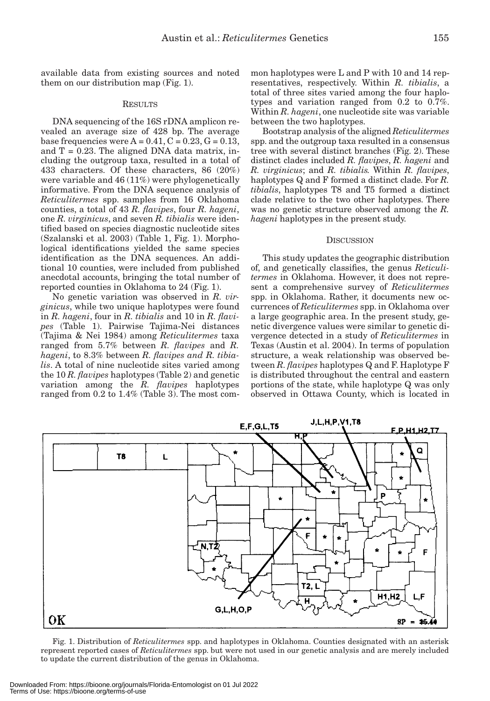available data from existing sources and noted them on our distribution map (Fig. 1).

### RESULTS

DNA sequencing of the 16S rDNA amplicon revealed an average size of 428 bp. The average base frequencies were  $A = 0.41$ ,  $C = 0.23$ ,  $G = 0.13$ , and  $T = 0.23$ . The aligned DNA data matrix, including the outgroup taxa, resulted in a total of 433 characters. Of these characters, 86 (20%) were variable and 46 (11%) were phylogenetically informative. From the DNA sequence analysis of *Reticulitermes* spp. samples from 16 Oklahoma counties, a total of 43 *R. flavipes*, four *R. hageni*, one *R. virginicus*, and seven *R. tibialis* were identified based on species diagnostic nucleotide sites (Szalanski et al. 2003) (Table 1, Fig. 1). Morphological identifications yielded the same species identification as the DNA sequences. An additional 10 counties, were included from published anecdotal accounts, bringing the total number of reported counties in Oklahoma to 24 (Fig. 1).

No genetic variation was observed in *R. virginicus*, while two unique haplotypes were found in *R. hageni*, four in *R. tibialis* and 10 in *R. flavipes* (Table 1). Pairwise Tajima-Nei distances (Tajima & Nei 1984) among *Reticulitermes* taxa ranged from 5.7% between *R. flavipes* and *R. hageni*, to 8.3% between *R. flavipes and R. tibialis*. A total of nine nucleotide sites varied among the 10 *R. flavipes* haplotypes (Table 2) and genetic variation among the *R. flavipes* haplotypes ranged from 0.2 to 1.4% (Table 3). The most common haplotypes were L and P with 10 and 14 representatives, respectively. Within *R. tibialis*, a total of three sites varied among the four haplotypes and variation ranged from 0.2 to 0.7%. Within *R. hageni*, one nucleotide site was variable between the two haplotypes.

Bootstrap analysis of the aligned *Reticulitermes* spp. and the outgroup taxa resulted in a consensus tree with several distinct branches (Fig. 2). These distinct clades included *R. flavipes*, *R. hageni* and *R. virginicus*; and *R. tibialis.* Within *R. flavipes*, haplotypes Q and F formed a distinct clade. For *R. tibialis*, haplotypes T8 and T5 formed a distinct clade relative to the two other haplotypes. There was no genetic structure observed among the *R. hageni* haplotypes in the present study.

#### **DISCUSSION**

This study updates the geographic distribution of, and genetically classifies, the genus *Reticulitermes* in Oklahoma. However, it does not represent a comprehensive survey of *Reticulitermes* spp. in Oklahoma. Rather, it documents new occurrences of *Reticulitermes* spp. in Oklahoma over a large geographic area. In the present study, genetic divergence values were similar to genetic divergence detected in a study of *Reticulitermes* in Texas (Austin et al. 2004). In terms of population structure, a weak relationship was observed between *R. flavipes* haplotypes Q and F. Haplotype F is distributed throughout the central and eastern portions of the state, while haplotype Q was only observed in Ottawa County, which is located in



Fig. 1. Distribution of *Reticulitermes* spp. and haplotypes in Oklahoma. Counties designated with an asterisk represent reported cases of *Reticulitermes* spp. but were not used in our genetic analysis and are merely included to update the current distribution of the genus in Oklahoma.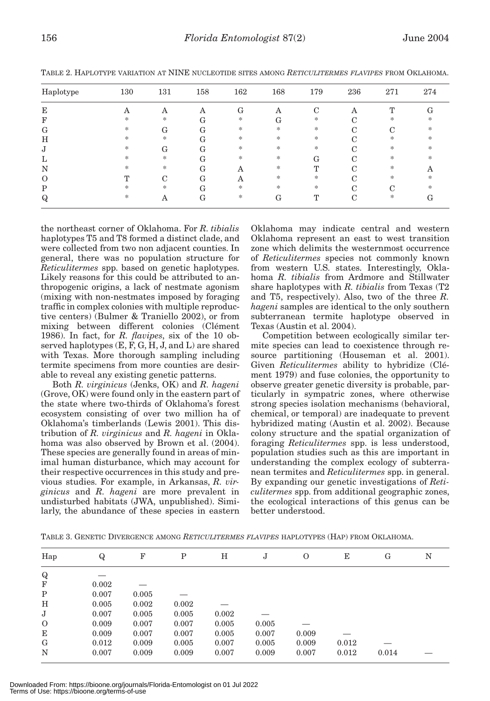| Haplotype | 130    | 131 | 158 | 162    | 168    | 179          | 236                | 271 | 274 |
|-----------|--------|-----|-----|--------|--------|--------------|--------------------|-----|-----|
| E         | Α      | Α   | Α   | G      | Α      | C            | Α                  | т   | G   |
| F         | $\ast$ | $*$ | G   | $*$    | G      | *            | ⌒                  | *   | *   |
| G         | $\ast$ | G   | G   | $*$    | $\ast$ | *            | C                  | C   | *   |
| Η         | $\ast$ | *   | G   | $\ast$ | $\ast$ | *            | ⌒                  | *   | *   |
| J         | $\ast$ | G   | G   | $\ast$ | $\ast$ | *            | ⌒                  | ∗   | *   |
| L         | $\ast$ | $*$ | G   | *      | *      | G            | ⌒                  | ∗   | *   |
| N         | $\ast$ | *   | G   | Α      | *      | m            | ⌒                  | *   | Α   |
| $\Omega$  | Т      | C   | G   | Α      | *      | *            |                    | ∗   | *   |
| P         | *      | $*$ | G   | $\ast$ | $\ast$ | *            | $\curvearrowright$ | С   | *   |
| Q         | *      | Α   | G   | *      | G      | $\mathbf{T}$ | $\curvearrowright$ | *   | G   |

TABLE 2. HAPLOTYPE VARIATION AT NINE NUCLEOTIDE SITES AMONG *RETICULITERMES FLAVIPES* FROM OKLAHOMA.

the northeast corner of Oklahoma. For *R. tibialis* haplotypes T5 and T8 formed a distinct clade, and were collected from two non adjacent counties. In general, there was no population structure for *Reticulitermes* spp. based on genetic haplotypes. Likely reasons for this could be attributed to anthropogenic origins, a lack of nestmate agonism (mixing with non-nestmates imposed by foraging traffic in complex colonies with multiple reproductive centers) (Bulmer & Traniello 2002), or from mixing between different colonies (Clément 1986). In fact, for *R. flavipes*, six of the 10 observed haplotypes (E, F, G, H, J, and L) are shared with Texas. More thorough sampling including termite specimens from more counties are desirable to reveal any existing genetic patterns.

Both *R. virginicus* (Jenks, OK) and *R. hageni* (Grove, OK) were found only in the eastern part of the state where two-thirds of Oklahoma's forest ecosystem consisting of over two million ha of Oklahoma's timberlands (Lewis 2001). This distribution of *R. virginicus* and *R. hageni* in Oklahoma was also observed by Brown et al. (2004). These species are generally found in areas of minimal human disturbance, which may account for their respective occurrences in this study and previous studies. For example, in Arkansas, *R. virginicus* and *R. hageni* are more prevalent in undisturbed habitats (JWA, unpublished). Similarly, the abundance of these species in eastern

Oklahoma may indicate central and western Oklahoma represent an east to west transition zone which delimits the westernmost occurrence of *Reticulitermes* species not commonly known from western U.S. states. Interestingly, Oklahoma *R. tibialis* from Ardmore and Stillwater share haplotypes with *R. tibialis* from Texas (T2 and T5, respectively). Also, two of the three *R. hageni* samples are identical to the only southern subterranean termite haplotype observed in Texas (Austin et al. 2004).

Competition between ecologically similar termite species can lead to coexistence through resource partitioning (Houseman et al. 2001). Given *Reticulitermes* ability to hybridize (Clément 1979) and fuse colonies, the opportunity to observe greater genetic diversity is probable, particularly in sympatric zones, where otherwise strong species isolation mechanisms (behavioral, chemical, or temporal) are inadequate to prevent hybridized mating (Austin et al. 2002). Because colony structure and the spatial organization of foraging *Reticulitermes* spp. is less understood, population studies such as this are important in understanding the complex ecology of subterranean termites and *Reticulitermes* spp. in general. By expanding our genetic investigations of *Reticulitermes* spp. from additional geographic zones, the ecological interactions of this genus can be better understood.

|  |  | TABLE 3. GENETIC DIVERGENCE AMONG <i>RETICULITERMES FLAVIPES</i> HAPLOTYPES (HAP) FROM OKLAHOMA. |  |  |  |
|--|--|--------------------------------------------------------------------------------------------------|--|--|--|
|  |  |                                                                                                  |  |  |  |

| Hap         | Q     | F     | Ρ     | Н     | J     | O     | Е     | G     | N |
|-------------|-------|-------|-------|-------|-------|-------|-------|-------|---|
| $\mathbf Q$ |       |       |       |       |       |       |       |       |   |
| $_{\rm F}$  | 0.002 |       |       |       |       |       |       |       |   |
| P           | 0.007 | 0.005 |       |       |       |       |       |       |   |
| Н           | 0.005 | 0.002 | 0.002 |       |       |       |       |       |   |
| J           | 0.007 | 0.005 | 0.005 | 0.002 |       |       |       |       |   |
| $\Omega$    | 0.009 | 0.007 | 0.007 | 0.005 | 0.005 |       |       |       |   |
| E           | 0.009 | 0.007 | 0.007 | 0.005 | 0.007 | 0.009 |       |       |   |
| G           | 0.012 | 0.009 | 0.005 | 0.007 | 0.005 | 0.009 | 0.012 |       |   |
| N           | 0.007 | 0.009 | 0.009 | 0.007 | 0.009 | 0.007 | 0.012 | 0.014 |   |

Downloaded From: https://bioone.org/journals/Florida-Entomologist on 01 Jul 2022 Terms of Use: https://bioone.org/terms-of-use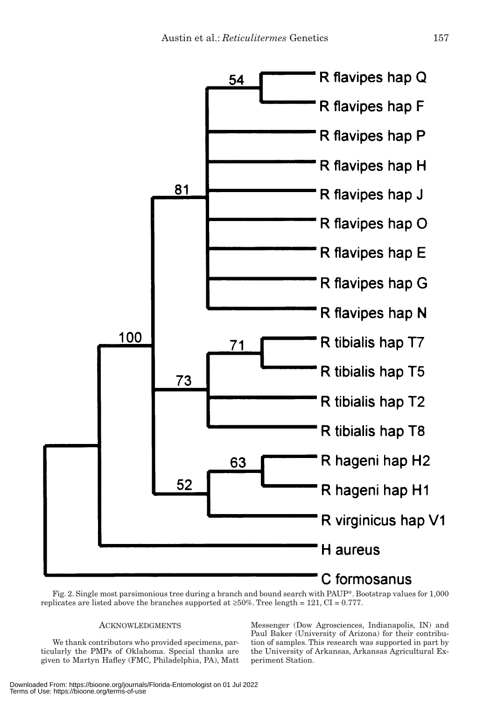

Fig. 2. Single most parsimonious tree during a branch and bound search with PAUP\*. Bootstrap values for 1,000 replicates are listed above the branches supported at  $\geq 50\%$ . Tree length = 121, CI = 0.777.

#### **ACKNOWLEDGMENTS**

We thank contributors who provided specimens, particularly the PMPs of Oklahoma. Special thanks are given to Martyn Hafley (FMC, Philadelphia, PA), Matt Messenger (Dow Agrosciences, Indianapolis, IN) and Paul Baker (University of Arizona) for their contribution of samples. This research was supported in part by the University of Arkansas, Arkansas Agricultural Experiment Station.